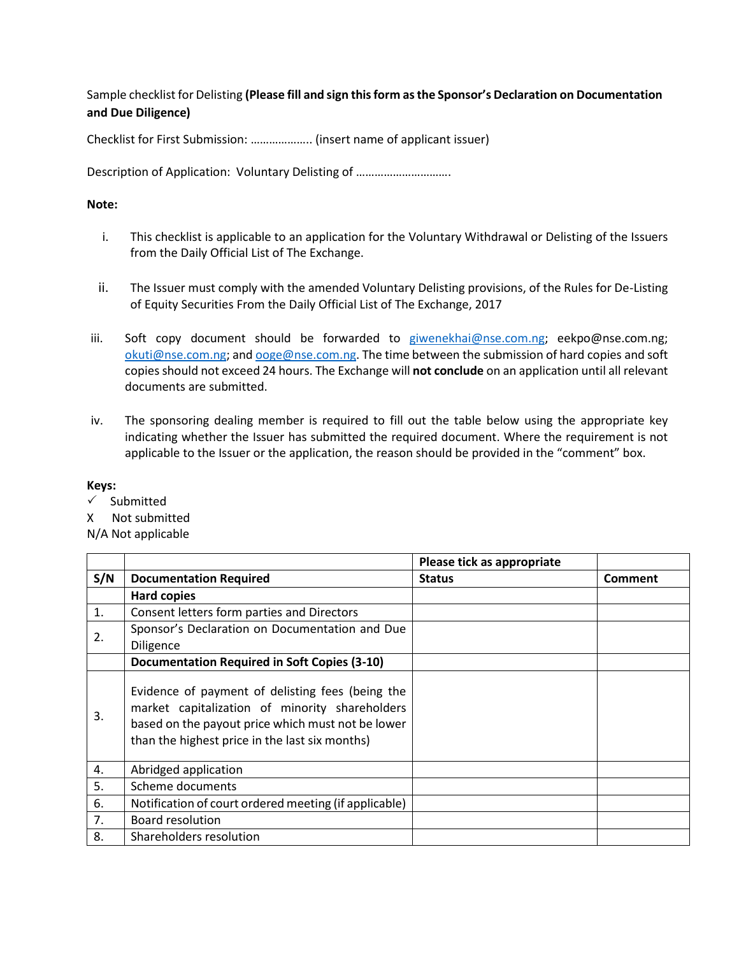Sample checklist for Delisting **(Please fill and sign this form as the Sponsor's Declaration on Documentation and Due Diligence)**

Checklist for First Submission: ……………….. (insert name of applicant issuer)

Description of Application: Voluntary Delisting of ..............................

## **Note:**

- i. This checklist is applicable to an application for the Voluntary Withdrawal or Delisting of the Issuers from the Daily Official List of The Exchange.
- ii. The Issuer must comply with the amended Voluntary Delisting provisions, of the Rules for De-Listing of Equity Securities From the Daily Official List of The Exchange, 2017
- iii. Soft copy document should be forwarded to [giwenekhai@nse.com.ng;](mailto:giwenekhai@nse.com.ng) eekpo@nse.com.ng; [okuti@nse.com.ng;](mailto:okuti@nse.com.ng) an[d ooge@nse.com.ng.](mailto:ooge@nse.com.ng) The time between the submission of hard copies and soft copies should not exceed 24 hours. The Exchange will **not conclude** on an application until all relevant documents are submitted.
- iv. The sponsoring dealing member is required to fill out the table below using the appropriate key indicating whether the Issuer has submitted the required document. Where the requirement is not applicable to the Issuer or the application, the reason should be provided in the "comment" box.

## **Keys:**

- $\checkmark$  Submitted
- X Not submitted

N/A Not applicable

|     |                                                                                                                                                                                                           | Please tick as appropriate |                |
|-----|-----------------------------------------------------------------------------------------------------------------------------------------------------------------------------------------------------------|----------------------------|----------------|
| S/N | <b>Documentation Required</b>                                                                                                                                                                             | <b>Status</b>              | <b>Comment</b> |
|     | <b>Hard copies</b>                                                                                                                                                                                        |                            |                |
| 1.  | Consent letters form parties and Directors                                                                                                                                                                |                            |                |
| 2.  | Sponsor's Declaration on Documentation and Due<br><b>Diligence</b>                                                                                                                                        |                            |                |
|     | <b>Documentation Required in Soft Copies (3-10)</b>                                                                                                                                                       |                            |                |
| 3.  | Evidence of payment of delisting fees (being the<br>market capitalization of minority shareholders<br>based on the payout price which must not be lower<br>than the highest price in the last six months) |                            |                |
| 4.  | Abridged application                                                                                                                                                                                      |                            |                |
| 5.  | Scheme documents                                                                                                                                                                                          |                            |                |
| 6.  | Notification of court ordered meeting (if applicable)                                                                                                                                                     |                            |                |
| 7.  | <b>Board resolution</b>                                                                                                                                                                                   |                            |                |
| 8.  | Shareholders resolution                                                                                                                                                                                   |                            |                |